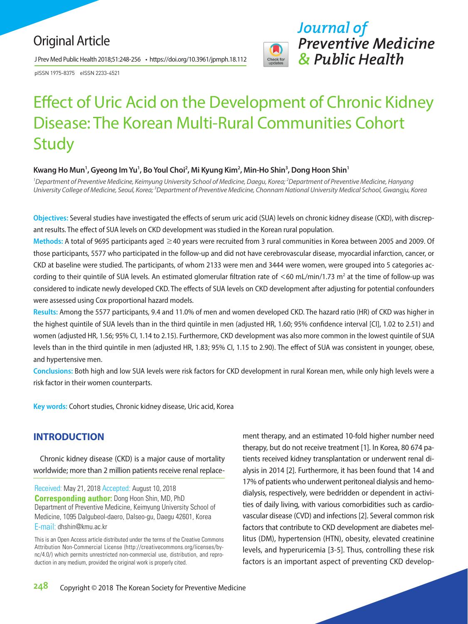# Original Article

J Prev Med Public Health 2018;51:248-256 • https://doi.org/10.3961/jpmph.18.112

pISSN 1975-8375 eISSN 2233-4521



# Effect of Uric Acid on the Development of Chronic Kidney Disease: The Korean Multi-Rural Communities Cohort **Study**

## Kwang Ho Mun<sup>1</sup>, Gyeong Im Yu<sup>1</sup>, Bo Youl Choi<sup>2</sup>, Mi Kyung Kim<sup>2</sup>, Min-Ho Shin<sup>3</sup>, Dong Hoon Shin<sup>1</sup>

*1 Department of Preventive Medicine, Keimyung University School of Medicine, Daegu, Korea; 2 Department of Preventive Medicine, Hanyang*  University College of Medicine, Seoul, Korea;<sup>3</sup>Department of Preventive Medicine, Chonnam National University Medical School, Gwangju, Korea

**Objectives:** Several studies have investigated the effects of serum uric acid (SUA) levels on chronic kidney disease (CKD), with discrepant results. The effect of SUA levels on CKD development was studied in the Korean rural population.

**Methods:** A total of 9695 participants aged ≥40 years were recruited from 3 rural communities in Korea between 2005 and 2009. Of those participants, 5577 who participated in the follow-up and did not have cerebrovascular disease, myocardial infarction, cancer, or CKD at baseline were studied. The participants, of whom 2133 were men and 3444 were women, were grouped into 5 categories according to their quintile of SUA levels. An estimated glomerular filtration rate of  $<$  60 mL/min/1.73 m<sup>2</sup> at the time of follow-up was considered to indicate newly developed CKD. The effects of SUA levels on CKD development after adjusting for potential confounders were assessed using Cox proportional hazard models.

**Results:** Among the 5577 participants, 9.4 and 11.0% of men and women developed CKD. The hazard ratio (HR) of CKD was higher in the highest quintile of SUA levels than in the third quintile in men (adjusted HR, 1.60; 95% confidence interval [CI], 1.02 to 2.51) and women (adjusted HR, 1.56; 95% CI, 1.14 to 2.15). Furthermore, CKD development was also more common in the lowest quintile of SUA levels than in the third quintile in men (adjusted HR, 1.83; 95% CI, 1.15 to 2.90). The effect of SUA was consistent in younger, obese, and hypertensive men.

**Conclusions:** Both high and low SUA levels were risk factors for CKD development in rural Korean men, while only high levels were a risk factor in their women counterparts.

**Key words:** Cohort studies, Chronic kidney disease, Uric acid, Korea

# **INTRODUCTION**

Chronic kidney disease (CKD) is a major cause of mortality worldwide; more than 2 million patients receive renal replace-

Received: May 21, 2018 Accepted: August 10, 2018 **Corresponding author:** Dong Hoon Shin, MD, PhD Department of Preventive Medicine, Keimyung University School of Medicine, 1095 Dalgubeol-daero, Dalseo-gu, Daegu 42601, Korea E-mail: dhshin@kmu.ac.kr

This is an Open Access article distributed under the terms of the Creative Commons Attribution Non-Commercial License (http://creativecommons.org/licenses/bync/4.0/) which permits unrestricted non-commercial use, distribution, and reproduction in any medium, provided the original work is properly cited.

ment therapy, and an estimated 10-fold higher number need therapy, but do not receive treatment [1]. In Korea, 80 674 patients received kidney transplantation or underwent renal dialysis in 2014 [2]. Furthermore, it has been found that 14 and 17% of patients who underwent peritoneal dialysis and hemodialysis, respectively, were bedridden or dependent in activities of daily living, with various comorbidities such as cardiovascular disease (CVD) and infections [2]. Several common risk factors that contribute to CKD development are diabetes mellitus (DM), hypertension (HTN), obesity, elevated creatinine levels, and hyperuricemia [3-5]. Thus, controlling these risk factors is an important aspect of preventing CKD develop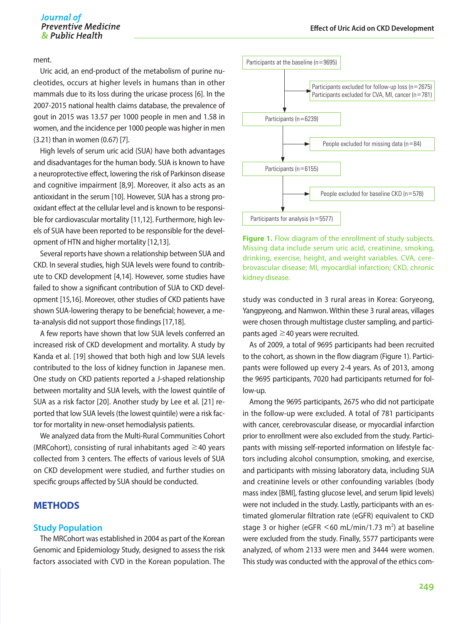ment.

Uric acid, an end-product of the metabolism of purine nucleotides, occurs at higher levels in humans than in other mammals due to its loss during the uricase process [6]. In the 2007-2015 national health claims database, the prevalence of gout in 2015 was 13.57 per 1000 people in men and 1.58 in women, and the incidence per 1000 people was higher in men (3.21) than in women (0.67) [7].

High levels of serum uric acid (SUA) have both advantages and disadvantages for the human body. SUA is known to have a neuroprotective effect, lowering the risk of Parkinson disease and cognitive impairment [8,9]. Moreover, it also acts as an antioxidant in the serum [10]. However, SUA has a strong prooxidant effect at the cellular level and is known to be responsible for cardiovascular mortality [11,12]. Furthermore, high levels of SUA have been reported to be responsible for the development of HTN and higher mortality [12,13].

Several reports have shown a relationship between SUA and CKD. In several studies, high SUA levels were found to contribute to CKD development [4,14]. However, some studies have failed to show a significant contribution of SUA to CKD development [15,16]. Moreover, other studies of CKD patients have shown SUA-lowering therapy to be beneficial; however, a meta-analysis did not support those findings [17,18].

A few reports have shown that low SUA levels conferred an increased risk of CKD development and mortality. A study by Kanda et al. [19] showed that both high and low SUA levels contributed to the loss of kidney function in Japanese men. One study on CKD patients reported a J-shaped relationship between mortality and SUA levels, with the lowest quintile of SUA as a risk factor [20]. Another study by Lee et al. [21] reported that low SUA levels (the lowest quintile) were a risk factor for mortality in new-onset hemodialysis patients.

We analyzed data from the Multi-Rural Communities Cohort (MRCohort), consisting of rural inhabitants aged  $\geq$ 40 years collected from 3 centers. The effects of various levels of SUA on CKD development were studied, and further studies on specific groups affected by SUA should be conducted.

# **METHODS**

#### **Study Population**

The MRCohort was established in 2004 as part of the Korean Genomic and Epidemiology Study, designed to assess the risk factors associated with CVD in the Korean population. The



**Figure 1.** Flow diagram of the enrollment of study subjects. Missing data include serum uric acid, creatinine, smoking, drinking, exercise, height, and weight variables. CVA, cerebrovascular disease; MI, myocardial infarction; CKD, chronic kidney disease.

study was conducted in 3 rural areas in Korea: Goryeong, Yangpyeong, and Namwon. Within these 3 rural areas, villages were chosen through multistage cluster sampling, and participants aged  $\geq$  40 years were recruited.

As of 2009, a total of 9695 participants had been recruited to the cohort, as shown in the flow diagram (Figure 1). Participants were followed up every 2-4 years. As of 2013, among the 9695 participants, 7020 had participants returned for follow-up.

Among the 9695 participants, 2675 who did not participate in the follow-up were excluded. A total of 781 participants with cancer, cerebrovascular disease, or myocardial infarction prior to enrollment were also excluded from the study. Participants with missing self-reported information on lifestyle factors including alcohol consumption, smoking, and exercise, and participants with missing laboratory data, including SUA and creatinine levels or other confounding variables (body mass index [BMI], fasting glucose level, and serum lipid levels) were not included in the study. Lastly, participants with an estimated glomerular filtration rate (eGFR) equivalent to CKD stage 3 or higher (eGFR  $\leq$  60 mL/min/1.73 m<sup>2</sup>) at baseline were excluded from the study. Finally, 5577 participants were analyzed, of whom 2133 were men and 3444 were women. This study was conducted with the approval of the ethics com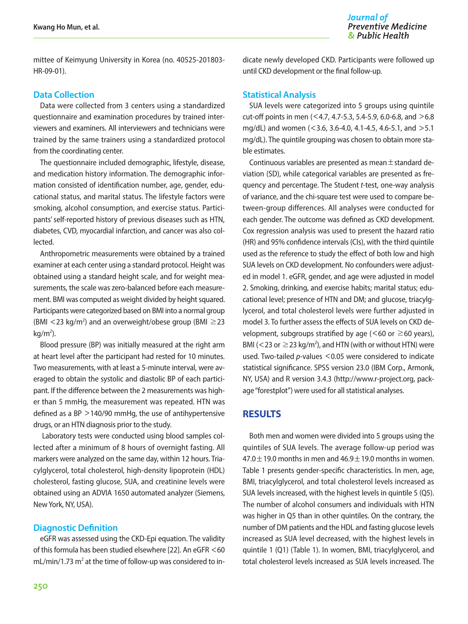mittee of Keimyung University in Korea (no. 40525-201803- HR-09-01).

#### **Data Collection**

Data were collected from 3 centers using a standardized questionnaire and examination procedures by trained interviewers and examiners. All interviewers and technicians were trained by the same trainers using a standardized protocol from the coordinating center.

The questionnaire included demographic, lifestyle, disease, and medication history information. The demographic information consisted of identification number, age, gender, educational status, and marital status. The lifestyle factors were smoking, alcohol consumption, and exercise status. Participants' self-reported history of previous diseases such as HTN, diabetes, CVD, myocardial infarction, and cancer was also collected.

Anthropometric measurements were obtained by a trained examiner at each center using a standard protocol. Height was obtained using a standard height scale, and for weight measurements, the scale was zero-balanced before each measurement. BMI was computed as weight divided by height squared. Participants were categorized based on BMI into a normal group (BMI <23 kg/m<sup>2</sup>) and an overweight/obese group (BMI  $\geq$ 23  $kg/m<sup>2</sup>$ ).

Blood pressure (BP) was initially measured at the right arm at heart level after the participant had rested for 10 minutes. Two measurements, with at least a 5-minute interval, were averaged to obtain the systolic and diastolic BP of each participant. If the difference between the 2 measurements was higher than 5 mmHg, the measurement was repeated. HTN was defined as a BP >140/90 mmHg, the use of antihypertensive drugs, or an HTN diagnosis prior to the study.

 Laboratory tests were conducted using blood samples collected after a minimum of 8 hours of overnight fasting. All markers were analyzed on the same day, within 12 hours. Triacylglycerol, total cholesterol, high-density lipoprotein (HDL) cholesterol, fasting glucose, SUA, and creatinine levels were obtained using an ADVIA 1650 automated analyzer (Siemens, New York, NY, USA).

# **Diagnostic Definition**

eGFR was assessed using the CKD-Epi equation. The validity of this formula has been studied elsewhere [22]. An eGFR <60 mL/min/1.73 m<sup>2</sup> at the time of follow-up was considered to indicate newly developed CKD. Participants were followed up until CKD development or the final follow-up.

## **Statistical Analysis**

SUA levels were categorized into 5 groups using quintile cut-off points in men (<4.7, 4.7-5.3, 5.4-5.9, 6.0-6.8, and >6.8 mg/dL) and women (<3.6, 3.6-4.0, 4.1-4.5, 4.6-5.1, and >5.1 mg/dL). The quintile grouping was chosen to obtain more stable estimates.

Continuous variables are presented as mean  $\pm$  standard deviation (SD), while categorical variables are presented as frequency and percentage. The Student *t*-test, one-way analysis of variance, and the chi-square test were used to compare between-group differences. All analyses were conducted for each gender. The outcome was defined as CKD development. Cox regression analysis was used to present the hazard ratio (HR) and 95% confidence intervals (CIs), with the third quintile used as the reference to study the effect of both low and high SUA levels on CKD development. No confounders were adjusted in model 1. eGFR, gender, and age were adjusted in model 2. Smoking, drinking, and exercise habits; marital status; educational level; presence of HTN and DM; and glucose, triacylglycerol, and total cholesterol levels were further adjusted in model 3. To further assess the effects of SUA levels on CKD development, subgroups stratified by age ( $\leq 60$  or  $\geq 60$  years), BMI (<23 or  $\geq$ 23 kg/m<sup>2</sup>), and HTN (with or without HTN) were used. Two-tailed *p*-values <0.05 were considered to indicate statistical significance. SPSS version 23.0 (IBM Corp., Armonk, NY, USA) and R version 3.4.3 (http://www.r-project.org, package "forestplot") were used for all statistical analyses.

# **RESULTS**

Both men and women were divided into 5 groups using the quintiles of SUA levels. The average follow-up period was 47.0 $\pm$ 19.0 months in men and 46.9 $\pm$ 19.0 months in women. Table 1 presents gender-specific characteristics. In men, age, BMI, triacylglycerol, and total cholesterol levels increased as SUA levels increased, with the highest levels in quintile 5 (Q5). The number of alcohol consumers and individuals with HTN was higher in Q5 than in other quintiles. On the contrary, the number of DM patients and the HDL and fasting glucose levels increased as SUA level decreased, with the highest levels in quintile 1 (Q1) (Table 1). In women, BMI, triacylglycerol, and total cholesterol levels increased as SUA levels increased. The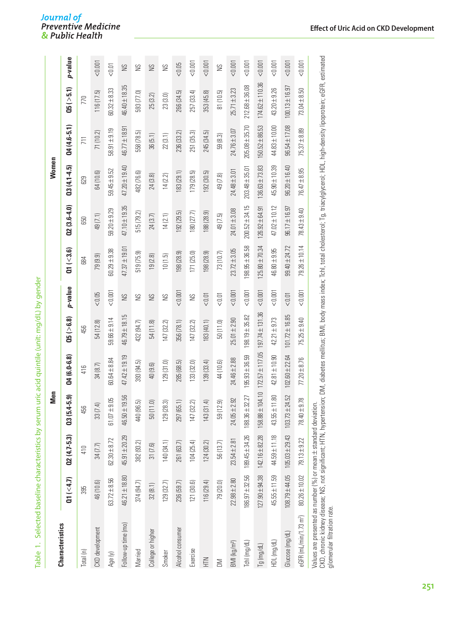| d<br>j              |
|---------------------|
| ī                   |
| ļ                   |
| Ò                   |
| Ì<br>١              |
|                     |
|                     |
|                     |
|                     |
|                     |
|                     |
|                     |
| ١                   |
| I                   |
| ì.                  |
|                     |
|                     |
|                     |
|                     |
|                     |
| J                   |
|                     |
| ī<br>í,             |
|                     |
|                     |
|                     |
| 、<br>こここく<br>て      |
|                     |
| ֚֘֝֬                |
| I                   |
| i                   |
| Ì                   |
|                     |
| ï                   |
|                     |
|                     |
|                     |
|                     |
|                     |
|                     |
|                     |
|                     |
| ١                   |
|                     |
|                     |
| .<br>i              |
| I                   |
|                     |
|                     |
|                     |
| i                   |
| Ò                   |
| ł<br>ŕ              |
| į<br>J              |
|                     |
|                     |
|                     |
| j                   |
|                     |
| i<br>I              |
|                     |
|                     |
|                     |
|                     |
| Ì                   |
|                     |
|                     |
|                     |
| Ò                   |
|                     |
|                     |
|                     |
|                     |
|                     |
|                     |
|                     |
|                     |
|                     |
| J                   |
| $\overline{a}$<br>í |
| ć                   |
| g<br>Ì<br>I         |

Journal of<br>Preventive Medicine<br>& Public Health

|                                                                                                                                                                    |                    |                    | Men                        |                     |                     |         |                     |                                                                                                                                                 | Women              |                    |                     |         |
|--------------------------------------------------------------------------------------------------------------------------------------------------------------------|--------------------|--------------------|----------------------------|---------------------|---------------------|---------|---------------------|-------------------------------------------------------------------------------------------------------------------------------------------------|--------------------|--------------------|---------------------|---------|
| <b>Characteristics</b>                                                                                                                                             | Q1 (< 4.7)         | $Q2(4.7-5.3)$      | $4 - 5.9$<br>03(5.4)       | $Q4(6.0-6.8)$       | (25 ( > 6.8))       | p-value | $\alpha$ ( $<$ 3.6) | $Q2(3.6-4.0)$                                                                                                                                   | $03(4.1 - 4.5)$    | $04(4.6 - 5.1)$    | (15(>5.1))          | p-value |
| Total (n)                                                                                                                                                          | 395                | 410                | 456                        | 416                 | 456                 |         | 684                 | 650                                                                                                                                             | 629                | 711                | 770                 |         |
| CKD development                                                                                                                                                    | 46 (10.6)          | 34 (7.7)           | ₹<br>33 <sub>(7.</sub>     | 34 (8.7)            | 54 (12.8)           | < 0.05  | 79 (9.9)            | 49 (7.1)                                                                                                                                        | 64 (10.6)          | 71 (10.2)          | 116(17.5)           | 10000   |
| Age (y)                                                                                                                                                            | $63.72 \pm 8.56$   | $62.30 \pm 8.72$   | 9.05<br>$61.07 +$          | $60.64 \pm 8.84$    | $59.66 \pm 9.14$    | < 0.001 | $60.29 \pm 9.38$    | $59.20 \pm 9.29$                                                                                                                                | $59.45 + 9.52$     | $58.91 + 9.19$     | $60.32 \pm 8.33$    | < 0.01  |
| Follow-up time (mo)                                                                                                                                                | $46.21 \pm 18.80$  | 45.91 ± 20.29      | 9.56<br>46.50±             | $47.42 \pm 19.19$   | 46.79±18.15         | SN      | $47.37 \pm 19.01$   | $47.10 \pm 19.35$                                                                                                                               | 47.20 ± 19.40      | $46.77 \pm 18.91$  | $46.40 \pm 18.35$   | SN      |
| Married                                                                                                                                                            | 374 (94.7)         | 382 (93.2)         | تي<br>440 (96.             | 393 (94.5)          | 432 (94.7)          | SN      | 519 (75.9)          | 515 (79.2)                                                                                                                                      | 482 (76.6)         | 558 (78.5)         | 593 (77.0)          | SS      |
| College or higher                                                                                                                                                  | 32(8.1)            | 31(7.6)            | $\overline{0}$<br>50(11)   | 40 (9.6)            | 54 (11.8)           | SN      | 19(2.8)             | 24(3.7)                                                                                                                                         | 24 (3.8)           | 36(5.1)            | 25 (3.2)            | SN      |
| Smoker                                                                                                                                                             | 129(32.7)          | 140 (34.1)         | 129(28.3)                  | 129(31.0)           | 147 (32.2)          | S       | 10(1.5)             | 14(2.1)                                                                                                                                         | 14(2.2)            | 22(3.1)            | 23 (3.0)            | SN      |
| Alcohol consumer                                                                                                                                                   | 236 (59.7)         | 261 (63.7)         | 297 (65.1)                 | 285 (68.5)          | 356 (78.1)          | 10000   | 198 (28.9)          | 192(29.5)                                                                                                                                       | 183(29.1)          | 236 (33.2)         | 266 (34.5)          | 0.05    |
| Exercise                                                                                                                                                           | 121(30.6)          | 104(25.4)          | 147 (32.2)                 | 133 (32.0)          | 147 (32.2)          | S       | 171(25.0)           | 180 (27.7)                                                                                                                                      | (79(28.5))         | 251 (35.3)         | 257 (33.4)          | < 0.001 |
| NIH                                                                                                                                                                | 116(29.4)          | 124(30.2)          | $\overline{4}$<br>143 (31. | 139(33.4)           | 183 (40.1)          | < 0.01  | 198 (28.9)          | 188 (28.9)                                                                                                                                      | 192(30.5)          | 245 (34.5)         | 353 (45.8)          | < 0.001 |
| $\geq$                                                                                                                                                             | 79 (20.0)          | 56 (13.7)          | 2.9<br>59 (12              | 44 (10.6)           | 50(11.0)            | < 0.01  | 73 (10.7)           | 49 (7.5)                                                                                                                                        | 49 (7.8)           | 59(8.3)            | 81 (10.5)           | SS      |
| BMI (kg/m <sup>2</sup> )                                                                                                                                           | $22.98 \pm 2.80$   | $23.54 \pm 2.81$   | 2.92<br>$24.05 \pm 2$      | $24.46 \pm 2.88$    | $25.01 + 2.90$      | 0.001   | $23.72 \pm 3.05$    | $24.01 \pm 3.08$                                                                                                                                | $24.48 \pm 3.01$   | $24.76 \pm 3.07$   | $25.71 \pm 3.23$    | 0.001   |
| Tchl (mg/dL)                                                                                                                                                       | $186.97 \pm 32.56$ | $189.45 \pm 34.26$ | 188.36±32.27               | $195.93 \pm 36.59$  | 198.19±35.82        | 0.001   | $198.95 \pm 36.58$  | $200.52 \pm 34.15$                                                                                                                              | $203.48 \pm 35.01$ | $205.08 \pm 35.70$ | $212.68 \pm 36.08$  | 0.001   |
| $Tg$ (mg/dL)                                                                                                                                                       | $127.90 \pm 94.38$ | $142.16 \pm 82.28$ | 158.88±104.10              | $172.57 \pm 117.05$ | $197.74 \pm 131.36$ | 10000   | $125.80 \pm 70.34$  | $126.92 \pm 64.91$                                                                                                                              | $136.63 \pm 73.83$ | $150.52 \pm 86.53$ | $174.62 \pm 110.36$ | 10000   |
| HDL (mg/dL)                                                                                                                                                        | $45.55 \pm 11.59$  | $44.59 \pm 11.18$  | 43.55±11.80                | $42.81 \pm 10.90$   | $42.21 \pm 9.73$    | 0.001   | $46.80 \pm 9.95$    | 47.02 ± 10.12                                                                                                                                   | $45.90 \pm 10.39$  | $44.83 \pm 10.00$  | $43.20 \pm 9.26$    | < 0.001 |
| Glucose (mg/dL)                                                                                                                                                    | $108.79 + 44.05$   | $105.03 \pm 29.43$ | $103.73 \pm 24.52$         | 102.60 ± 22.64      | $101.72 \pm 16.85$  | < 0.01  | $99.40 \pm 24.72$   | $96.17 \pm 16.97$                                                                                                                               | $96.20 \pm 16.40$  | $96.54 \pm 17.08$  | $100.13 \pm 16.97$  | 0.001   |
| eGFR (mL/min/1.73 m <sup>2</sup> )                                                                                                                                 | $80.26 \pm 10.02$  | $79.13 \pm 9.22$   | 9.78<br>$78.40 \pm 9$      | $77.20 \pm 8.76$    | $75.25 \pm 9.40$    | 10000   | 79.26±10.14         | $78.43 \pm 9.40$                                                                                                                                | $76.47 \pm 8.95$   | $75.37 \pm 8.89$   | $73.04 \pm 8.50$    | < 0.001 |
| Values are presented as number (%) or mean ± standard deviation.<br>CKD, chronic kidney disease; NS, not significant; HTN, hyperten<br>glomerular filtration rate. |                    |                    |                            |                     |                     |         |                     | sion; DM, diabetes mellitus; BMI, body mass index; Tchl, total cholesterol; Tg, triacylglycerol; HDL, high-density lipoprotein; eGFR, estimated |                    |                    |                     |         |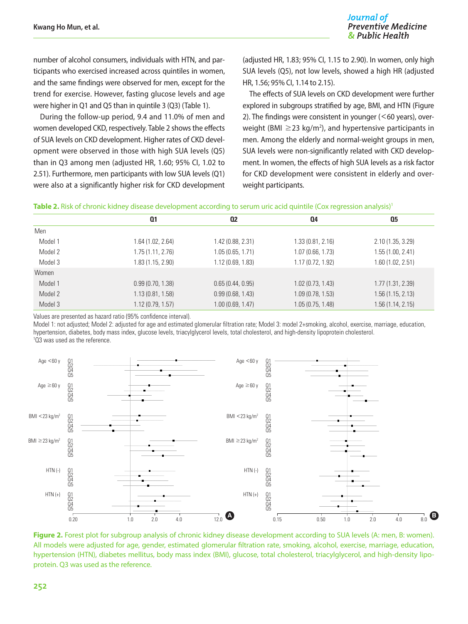number of alcohol consumers, individuals with HTN, and participants who exercised increased across quintiles in women, and the same findings were observed for men, except for the trend for exercise. However, fasting glucose levels and age were higher in Q1 and Q5 than in quintile 3 (Q3) (Table 1).

During the follow-up period, 9.4 and 11.0% of men and women developed CKD, respectively. Table 2 shows the effects of SUA levels on CKD development. Higher rates of CKD development were observed in those with high SUA levels (Q5) than in Q3 among men (adjusted HR, 1.60; 95% CI, 1.02 to 2.51). Furthermore, men participants with low SUA levels (Q1) were also at a significantly higher risk for CKD development

(adjusted HR, 1.83; 95% CI, 1.15 to 2.90). In women, only high SUA levels (Q5), not low levels, showed a high HR (adjusted HR, 1.56; 95% CI, 1.14 to 2.15).

The effects of SUA levels on CKD development were further explored in subgroups stratified by age, BMI, and HTN (Figure 2). The findings were consistent in younger  $(<$  60 years), overweight (BMI  $\geq$ 23 kg/m<sup>2</sup>), and hypertensive participants in men. Among the elderly and normal-weight groups in men, SUA levels were non-significantly related with CKD development. In women, the effects of high SUA levels as a risk factor for CKD development were consistent in elderly and overweight participants.

| Table 2. Risk of chronic kidney disease development according to serum uric acid quintile (Cox regression analysis) <sup>1</sup> |  |  |
|----------------------------------------------------------------------------------------------------------------------------------|--|--|
|                                                                                                                                  |  |  |

|         | Q1                | <b>Q2</b>        | Q4                | Q <sub>5</sub>    |
|---------|-------------------|------------------|-------------------|-------------------|
| Men     |                   |                  |                   |                   |
| Model 1 | 1.64 (1.02, 2.64) | 1.42(0.88, 2.31) | 1.33(0.81, 2.16)  | 2.10(1.35, 3.29)  |
| Model 2 | 1.75 (1.11, 2.76) | 1.05(0.65, 1.71) | 1.07(0.66, 1.73)  | 1.55(1.00, 2.41)  |
| Model 3 | 1.83(1.15, 2.90)  | 1.12(0.69, 1.83) | 1.17 (0.72, 1.92) | 1.60(1.02, 2.51)  |
| Women   |                   |                  |                   |                   |
| Model 1 | 0.99(0.70, 1.38)  | 0.65(0.44, 0.95) | 1.02(0.73, 1.43)  | 1.77(1.31, 2.39)  |
| Model 2 | 1.13(0.81, 1.58)  | 0.99(0.68, 1.43) | 1.09(0.78, 1.53)  | 1.56(1.15, 2.13)  |
| Model 3 | 1.12(0.79, 1.57)  | 1.00(0.69, 1.47) | 1.05(0.75, 1.48)  | 1.56 (1.14, 2.15) |

Values are presented as hazard ratio (95% confidence interval).

Model 1: not adjusted: Model 2: adjusted for age and estimated glomerular filtration rate: Model 3: model 2+smoking, alcohol, exercise, marriage, education, hypertension, diabetes, body mass index, glucose levels, triacylglycerol levels, total cholesterol, and high-density lipoprotein cholesterol. 1 Q3 was used as the reference.



**Figure 2.** Forest plot for subgroup analysis of chronic kidney disease development according to SUA levels (A: men, B: women). All models were adjusted for age, gender, estimated glomerular filtration rate, smoking, alcohol, exercise, marriage, education, hypertension (HTN), diabetes mellitus, body mass index (BMI), glucose, total cholesterol, triacylglycerol, and high-density lipoprotein. Q3 was used as the reference.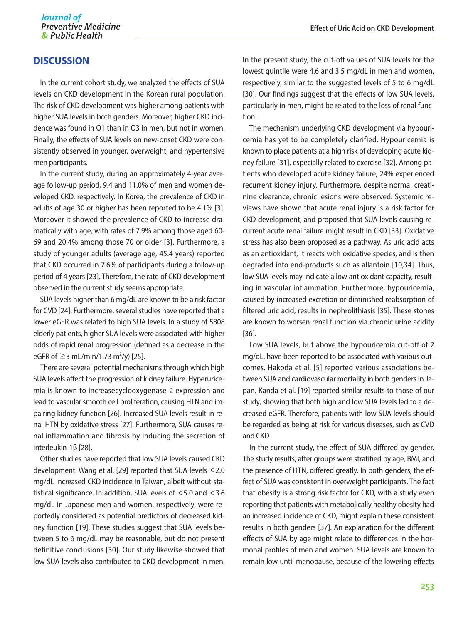# **DISCUSSION**

In the current cohort study, we analyzed the effects of SUA levels on CKD development in the Korean rural population. The risk of CKD development was higher among patients with higher SUA levels in both genders. Moreover, higher CKD incidence was found in Q1 than in Q3 in men, but not in women. Finally, the effects of SUA levels on new-onset CKD were consistently observed in younger, overweight, and hypertensive men participants.

In the current study, during an approximately 4-year average follow-up period, 9.4 and 11.0% of men and women developed CKD, respectively. In Korea, the prevalence of CKD in adults of age 30 or higher has been reported to be 4.1% [3]. Moreover it showed the prevalence of CKD to increase dramatically with age, with rates of 7.9% among those aged 60- 69 and 20.4% among those 70 or older [3]. Furthermore, a study of younger adults (average age, 45.4 years) reported that CKD occurred in 7.6% of participants during a follow-up period of 4 years [23]. Therefore, the rate of CKD development observed in the current study seems appropriate.

SUA levels higher than 6 mg/dL are known to be a risk factor for CVD [24]. Furthermore, several studies have reported that a lower eGFR was related to high SUA levels. In a study of 5808 elderly patients, higher SUA levels were associated with higher odds of rapid renal progression (defined as a decrease in the eGFR of  $≥$ 3 mL/min/1.73 m<sup>2</sup>/y) [25].

There are several potential mechanisms through which high SUA levels affect the progression of kidney failure. Hyperuricemia is known to increasecyclooxygenase-2 expression and lead to vascular smooth cell proliferation, causing HTN and impairing kidney function [26]. Increased SUA levels result in renal HTN by oxidative stress [27]. Furthermore, SUA causes renal inflammation and fibrosis by inducing the secretion of interleukin-1β [28].

Other studies have reported that low SUA levels caused CKD development. Wang et al. [29] reported that SUA levels <2.0 mg/dL increased CKD incidence in Taiwan, albeit without statistical significance. In addition, SUA levels of <5.0 and <3.6 mg/dL in Japanese men and women, respectively, were reportedly considered as potential predictors of decreased kidney function [19]. These studies suggest that SUA levels between 5 to 6 mg/dL may be reasonable, but do not present definitive conclusions [30]. Our study likewise showed that low SUA levels also contributed to CKD development in men. In the present study, the cut-off values of SUA levels for the lowest quintile were 4.6 and 3.5 mg/dL in men and women, respectively, similar to the suggested levels of 5 to 6 mg/dL [30]. Our findings suggest that the effects of low SUA levels, particularly in men, might be related to the loss of renal function.

The mechanism underlying CKD development via hypouricemia has yet to be completely clarified. Hypouricemia is known to place patients at a high risk of developing acute kidney failure [31], especially related to exercise [32]. Among patients who developed acute kidney failure, 24% experienced recurrent kidney injury. Furthermore, despite normal creatinine clearance, chronic lesions were observed. Systemic reviews have shown that acute renal injury is a risk factor for CKD development, and proposed that SUA levels causing recurrent acute renal failure might result in CKD [33]. Oxidative stress has also been proposed as a pathway. As uric acid acts as an antioxidant, it reacts with oxidative species, and is then degraded into end-products such as allantoin [10,34]. Thus, low SUA levels may indicate a low antioxidant capacity, resulting in vascular inflammation. Furthermore, hypouricemia, caused by increased excretion or diminished reabsorption of filtered uric acid, results in nephrolithiasis [35]. These stones are known to worsen renal function via chronic urine acidity [36].

Low SUA levels, but above the hypouricemia cut-off of 2 mg/dL, have been reported to be associated with various outcomes. Hakoda et al. [5] reported various associations between SUA and cardiovascular mortality in both genders in Japan. Kanda et al. [19] reported similar results to those of our study, showing that both high and low SUA levels led to a decreased eGFR. Therefore, patients with low SUA levels should be regarded as being at risk for various diseases, such as CVD and CKD.

In the current study, the effect of SUA differed by gender. The study results, after groups were stratified by age, BMI, and the presence of HTN, differed greatly. In both genders, the effect of SUA was consistent in overweight participants. The fact that obesity is a strong risk factor for CKD, with a study even reporting that patients with metabolically healthy obesity had an increased incidence of CKD, might explain these consistent results in both genders [37]. An explanation for the different effects of SUA by age might relate to differences in the hormonal profiles of men and women. SUA levels are known to remain low until menopause, because of the lowering effects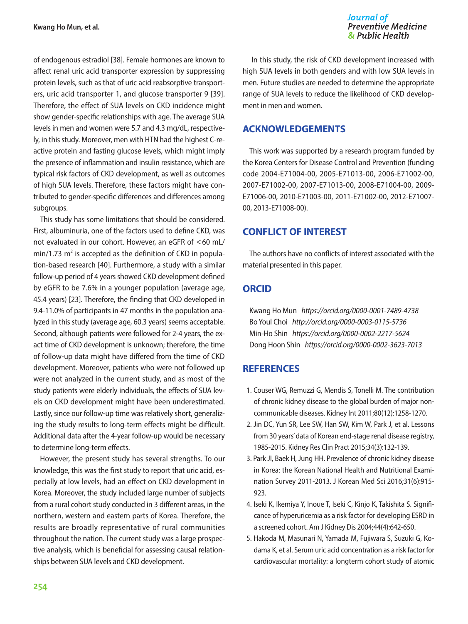of endogenous estradiol [38]. Female hormones are known to affect renal uric acid transporter expression by suppressing protein levels, such as that of uric acid reabsorptive transporters, uric acid transporter 1, and glucose transporter 9 [39]. Therefore, the effect of SUA levels on CKD incidence might show gender-specific relationships with age. The average SUA levels in men and women were 5.7 and 4.3 mg/dL, respectively, in this study. Moreover, men with HTN had the highest C-reactive protein and fasting glucose levels, which might imply the presence of inflammation and insulin resistance, which are typical risk factors of CKD development, as well as outcomes of high SUA levels. Therefore, these factors might have contributed to gender-specific differences and differences among subgroups.

This study has some limitations that should be considered. First, albuminuria, one of the factors used to define CKD, was not evaluated in our cohort. However, an eGFR of <60 mL/  $min/1.73$   $m<sup>2</sup>$  is accepted as the definition of CKD in population-based research [40]. Furthermore, a study with a similar follow-up period of 4 years showed CKD development defined by eGFR to be 7.6% in a younger population (average age, 45.4 years) [23]. Therefore, the finding that CKD developed in 9.4-11.0% of participants in 47 months in the population analyzed in this study (average age, 60.3 years) seems acceptable. Second, although patients were followed for 2-4 years, the exact time of CKD development is unknown; therefore, the time of follow-up data might have differed from the time of CKD development. Moreover, patients who were not followed up were not analyzed in the current study, and as most of the study patients were elderly individuals, the effects of SUA levels on CKD development might have been underestimated. Lastly, since our follow-up time was relatively short, generalizing the study results to long-term effects might be difficult. Additional data after the 4-year follow-up would be necessary to determine long-term effects.

However, the present study has several strengths. To our knowledge, this was the first study to report that uric acid, especially at low levels, had an effect on CKD development in Korea. Moreover, the study included large number of subjects from a rural cohort study conducted in 3 different areas, in the northern, western and eastern parts of Korea. Therefore, the results are broadly representative of rural communities throughout the nation. The current study was a large prospective analysis, which is beneficial for assessing causal relationships between SUA levels and CKD development.

Journal of **Preventive Medicine** & Public Health

 In this study, the risk of CKD development increased with high SUA levels in both genders and with low SUA levels in men. Future studies are needed to determine the appropriate range of SUA levels to reduce the likelihood of CKD development in men and women.

# **ACKNOWLEDGEMENTS**

This work was supported by a research program funded by the Korea Centers for Disease Control and Prevention (funding code 2004-E71004-00, 2005-E71013-00, 2006-E71002-00, 2007-E71002-00, 2007-E71013-00, 2008-E71004-00, 2009- E71006-00, 2010-E71003-00, 2011-E71002-00, 2012-E71007- 00, 2013-E71008-00).

# **CONFLICT OF INTEREST**

The authors have no conflicts of interest associated with the material presented in this paper.

# **ORCID**

Kwang Ho Mun *https://orcid.org/0000-0001-7489-4738* Bo Youl Choi *http://orcid.org/0000-0003-0115-5736* Min-Ho Shin *https://orcid.org/0000-0002-2217-5624* Dong Hoon Shin *https://orcid.org/0000-0002-3623-7013*

# **REFERENCES**

- 1. Couser WG, Remuzzi G, Mendis S, Tonelli M. The contribution of chronic kidney disease to the global burden of major noncommunicable diseases. Kidney Int 2011;80(12):1258-1270.
- 2. Jin DC, Yun SR, Lee SW, Han SW, Kim W, Park J, et al. Lessons from 30 years' data of Korean end-stage renal disease registry, 1985-2015. Kidney Res Clin Pract 2015;34(3):132-139.
- 3. Park JI, Baek H, Jung HH. Prevalence of chronic kidney disease in Korea: the Korean National Health and Nutritional Examination Survey 2011-2013. J Korean Med Sci 2016;31(6):915- 923.
- 4. Iseki K, Ikemiya Y, Inoue T, Iseki C, Kinjo K, Takishita S. Significance of hyperuricemia as a risk factor for developing ESRD in a screened cohort. Am J Kidney Dis 2004;44(4):642-650.
- 5. Hakoda M, Masunari N, Yamada M, Fujiwara S, Suzuki G, Kodama K, et al. Serum uric acid concentration as a risk factor for cardiovascular mortality: a longterm cohort study of atomic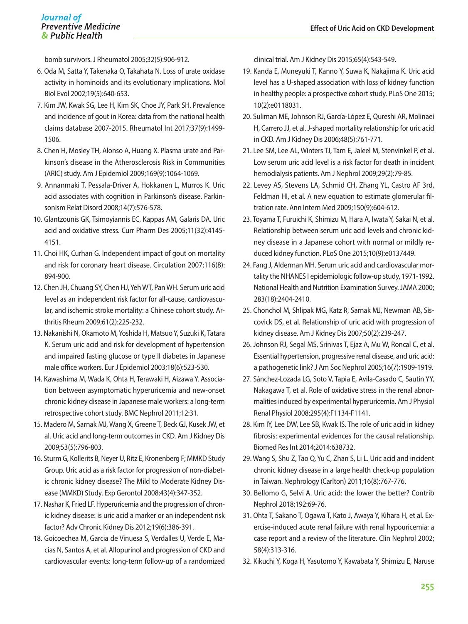bomb survivors. J Rheumatol 2005;32(5):906-912.

- 6. Oda M, Satta Y, Takenaka O, Takahata N. Loss of urate oxidase activity in hominoids and its evolutionary implications. Mol Biol Evol 2002;19(5):640-653.
- 7. Kim JW, Kwak SG, Lee H, Kim SK, Choe JY, Park SH. Prevalence and incidence of gout in Korea: data from the national health claims database 2007-2015. Rheumatol Int 2017;37(9):1499- 1506.
- 8. Chen H, Mosley TH, Alonso A, Huang X. Plasma urate and Parkinson's disease in the Atherosclerosis Risk in Communities (ARIC) study. Am J Epidemiol 2009;169(9):1064-1069.
- 9. Annanmaki T, Pessala-Driver A, Hokkanen L, Murros K. Uric acid associates with cognition in Parkinson's disease. Parkinsonism Relat Disord 2008;14(7):576-578.
- 10. Glantzounis GK, Tsimoyiannis EC, Kappas AM, Galaris DA. Uric acid and oxidative stress. Curr Pharm Des 2005;11(32):4145- 4151.
- 11. Choi HK, Curhan G. Independent impact of gout on mortality and risk for coronary heart disease. Circulation 2007;116(8): 894-900.
- 12. Chen JH, Chuang SY, Chen HJ, Yeh WT, Pan WH. Serum uric acid level as an independent risk factor for all-cause, cardiovascular, and ischemic stroke mortality: a Chinese cohort study. Arthritis Rheum 2009;61(2):225-232.
- 13. Nakanishi N, Okamoto M, Yoshida H, Matsuo Y, Suzuki K, Tatara K. Serum uric acid and risk for development of hypertension and impaired fasting glucose or type II diabetes in Japanese male office workers. Eur J Epidemiol 2003;18(6):523-530.
- 14. Kawashima M, Wada K, Ohta H, Terawaki H, Aizawa Y. Association between asymptomatic hyperuricemia and new-onset chronic kidney disease in Japanese male workers: a long-term retrospective cohort study. BMC Nephrol 2011;12:31.
- 15. Madero M, Sarnak MJ, Wang X, Greene T, Beck GJ, Kusek JW, et al. Uric acid and long-term outcomes in CKD. Am J Kidney Dis 2009;53(5):796-803.
- 16. Sturm G, Kollerits B, Neyer U, Ritz E, Kronenberg F; MMKD Study Group. Uric acid as a risk factor for progression of non-diabetic chronic kidney disease? The Mild to Moderate Kidney Disease (MMKD) Study. Exp Gerontol 2008;43(4):347-352.
- 17. Nashar K, Fried LF. Hyperuricemia and the progression of chronic kidney disease: is uric acid a marker or an independent risk factor? Adv Chronic Kidney Dis 2012;19(6):386-391.
- 18. Goicoechea M, Garcia de Vinuesa S, Verdalles U, Verde E, Macias N, Santos A, et al. Allopurinol and progression of CKD and cardiovascular events: long-term follow-up of a randomized

clinical trial. Am J Kidney Dis 2015;65(4):543-549.

- 19. Kanda E, Muneyuki T, Kanno Y, Suwa K, Nakajima K. Uric acid level has a U-shaped association with loss of kidney function in healthy people: a prospective cohort study. PLoS One 2015; 10(2):e0118031.
- 20. Suliman ME, Johnson RJ, García-López E, Qureshi AR, Molinaei H, Carrero JJ, et al. J-shaped mortality relationship for uric acid in CKD. Am J Kidney Dis 2006;48(5):761-771.
- 21. Lee SM, Lee AL, Winters TJ, Tam E, Jaleel M, Stenvinkel P, et al. Low serum uric acid level is a risk factor for death in incident hemodialysis patients. Am J Nephrol 2009;29(2):79-85.
- 22. Levey AS, Stevens LA, Schmid CH, Zhang YL, Castro AF 3rd, Feldman HI, et al. A new equation to estimate glomerular filtration rate. Ann Intern Med 2009;150(9):604-612.
- 23. Toyama T, Furuichi K, Shimizu M, Hara A, Iwata Y, Sakai N, et al. Relationship between serum uric acid levels and chronic kidney disease in a Japanese cohort with normal or mildly reduced kidney function. PLoS One 2015;10(9):e0137449.
- 24. Fang J, Alderman MH. Serum uric acid and cardiovascular mortality the NHANES I epidemiologic follow-up study, 1971-1992. National Health and Nutrition Examination Survey. JAMA 2000; 283(18):2404-2410.
- 25. Chonchol M, Shlipak MG, Katz R, Sarnak MJ, Newman AB, Siscovick DS, et al. Relationship of uric acid with progression of kidney disease. Am J Kidney Dis 2007;50(2):239-247.
- 26. Johnson RJ, Segal MS, Srinivas T, Ejaz A, Mu W, Roncal C, et al. Essential hypertension, progressive renal disease, and uric acid: a pathogenetic link? J Am Soc Nephrol 2005;16(7):1909-1919.
- 27. Sánchez-Lozada LG, Soto V, Tapia E, Avila-Casado C, Sautin YY, Nakagawa T, et al. Role of oxidative stress in the renal abnormalities induced by experimental hyperuricemia. Am J Physiol Renal Physiol 2008;295(4):F1134-F1141.
- 28. Kim IY, Lee DW, Lee SB, Kwak IS. The role of uric acid in kidney fibrosis: experimental evidences for the causal relationship. Biomed Res Int 2014;2014:638732.
- 29. Wang S, Shu Z, Tao Q, Yu C, Zhan S, Li L. Uric acid and incident chronic kidney disease in a large health check-up population in Taiwan. Nephrology (Carlton) 2011;16(8):767-776.
- 30. Bellomo G, Selvi A. Uric acid: the lower the better? Contrib Nephrol 2018;192:69-76.
- 31. Ohta T, Sakano T, Ogawa T, Kato J, Awaya Y, Kihara H, et al. Exercise-induced acute renal failure with renal hypouricemia: a case report and a review of the literature. Clin Nephrol 2002; 58(4):313-316.
- 32. Kikuchi Y, Koga H, Yasutomo Y, Kawabata Y, Shimizu E, Naruse